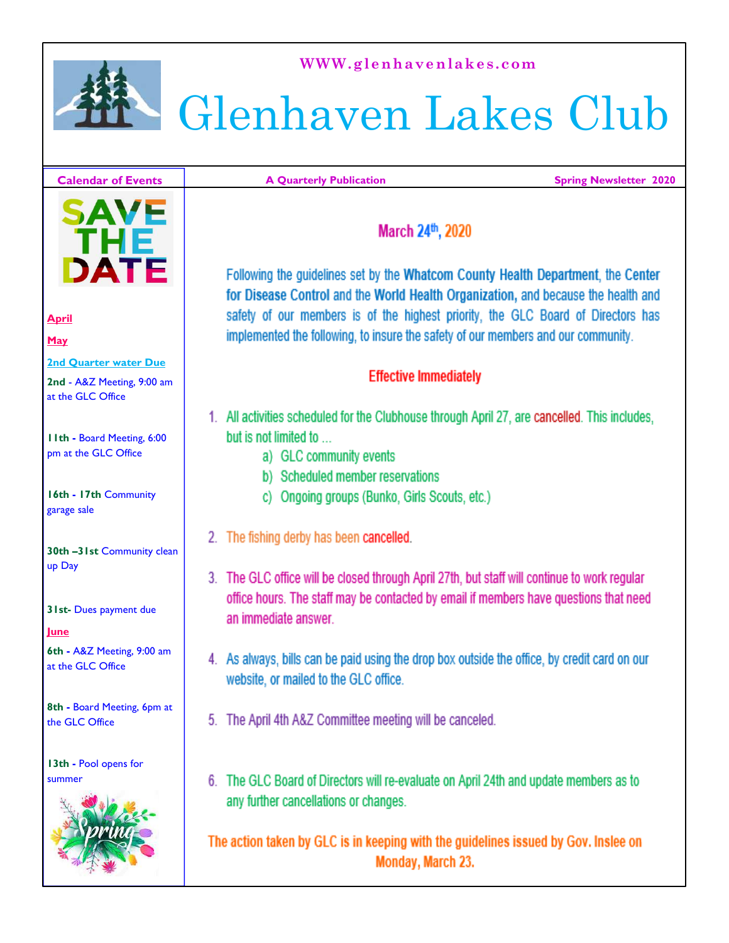

**WWW.glenhavenlakes.com** 

## Glenhaven Lakes Club

#### **Calendar of Events**

**A Quarterly Publication** 

**Spring Newsletter 2020** 

# DATE

#### **April**

**May**

**2nd Quarter water Due 2nd** - A&Z Meeting, 9:00 am

at the GLC Office

**11th -** Board Meeting, 6:00 pm at the GLC Office

**16th - 17th** Community garage sale

**30th –31st** Community clean up Day

**31st-** Dues payment due

**June**

**6th -** A&Z Meeting, 9:00 am at the GLC Office

**8th -** Board Meeting, 6pm at the GLC Office

**13th -** Pool opens for summer



#### March 24th, 2020

Following the guidelines set by the Whatcom County Health Department, the Center for Disease Control and the World Health Organization, and because the health and safety of our members is of the highest priority, the GLC Board of Directors has implemented the following, to insure the safety of our members and our community.

#### **Effective Immediately**

- 1. All activities scheduled for the Clubhouse through April 27, are cancelled. This includes, but is not limited to
	- a) GLC community events
	- b) Scheduled member reservations
	- c) Ongoing groups (Bunko, Girls Scouts, etc.)
- 2. The fishing derby has been cancelled.
- 3. The GLC office will be closed through April 27th, but staff will continue to work regular office hours. The staff may be contacted by email if members have questions that need an immediate answer.
- 4. As always, bills can be paid using the drop box outside the office, by credit card on our website, or mailed to the GLC office.
- 5. The April 4th A&Z Committee meeting will be canceled.
- 6. The GLC Board of Directors will re-evaluate on April 24th and update members as to any further cancellations or changes.

The action taken by GLC is in keeping with the guidelines issued by Gov. Inslee on Monday, March 23.